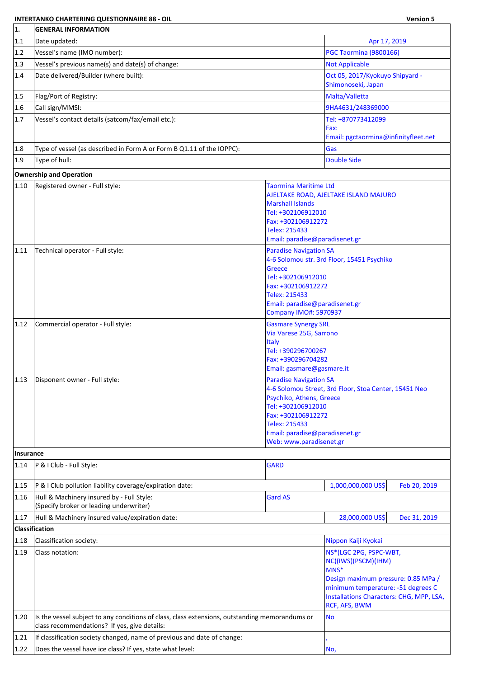## **INTERTANKO CHARTERING QUESTIONNAIRE 88 - OIL Version 5**

F.

| 1.             | <b>GENERAL INFORMATION</b>                                                                                                                     |                                                                                                                                                                                                                 |                                                                                                                                                                                                        |  |  |  |
|----------------|------------------------------------------------------------------------------------------------------------------------------------------------|-----------------------------------------------------------------------------------------------------------------------------------------------------------------------------------------------------------------|--------------------------------------------------------------------------------------------------------------------------------------------------------------------------------------------------------|--|--|--|
| 1.1            | Date updated:                                                                                                                                  |                                                                                                                                                                                                                 | Apr 17, 2019                                                                                                                                                                                           |  |  |  |
| 1.2            | Vessel's name (IMO number):                                                                                                                    |                                                                                                                                                                                                                 | PGC Taormina (9800166)                                                                                                                                                                                 |  |  |  |
| 1.3            | Vessel's previous name(s) and date(s) of change:                                                                                               |                                                                                                                                                                                                                 | <b>Not Applicable</b>                                                                                                                                                                                  |  |  |  |
| 1.4            | Date delivered/Builder (where built):                                                                                                          |                                                                                                                                                                                                                 | Oct 05, 2017/Kyokuyo Shipyard -<br>Shimonoseki, Japan                                                                                                                                                  |  |  |  |
| 1.5            | Flag/Port of Registry:                                                                                                                         |                                                                                                                                                                                                                 | Malta/Valletta                                                                                                                                                                                         |  |  |  |
| 1.6            | Call sign/MMSI:                                                                                                                                |                                                                                                                                                                                                                 | 9HA4631/248369000                                                                                                                                                                                      |  |  |  |
| 1.7            | Vessel's contact details (satcom/fax/email etc.):                                                                                              |                                                                                                                                                                                                                 | Tel: +870773412099<br>Fax:<br>Email: pgctaormina@infinityfleet.net                                                                                                                                     |  |  |  |
| 1.8            | Type of vessel (as described in Form A or Form B Q1.11 of the IOPPC):                                                                          |                                                                                                                                                                                                                 | Gas                                                                                                                                                                                                    |  |  |  |
| 1.9            | Type of hull:                                                                                                                                  |                                                                                                                                                                                                                 | Double Side                                                                                                                                                                                            |  |  |  |
|                | <b>Ownership and Operation</b>                                                                                                                 |                                                                                                                                                                                                                 |                                                                                                                                                                                                        |  |  |  |
| 1.10           | Registered owner - Full style:                                                                                                                 | <b>Taormina Maritime Ltd</b><br><b>Marshall Islands</b><br>Tel: +302106912010<br>Fax: +302106912272<br>Telex: 215433                                                                                            | AJELTAKE ROAD, AJELTAKE ISLAND MAJURO                                                                                                                                                                  |  |  |  |
| 1.11           | Technical operator - Full style:                                                                                                               | Email: paradise@paradisenet.gr<br><b>Paradise Navigation SA</b><br><b>Greece</b><br>Tel: +302106912010<br>Fax: +302106912272<br>Telex: 215433<br>Email: paradise@paradisenet.gr<br><b>Company IMO#: 5970937</b> | 4-6 Solomou str. 3rd Floor, 15451 Psychiko                                                                                                                                                             |  |  |  |
| 1.12           | Commercial operator - Full style:                                                                                                              | <b>Gasmare Synergy SRL</b><br>Via Varese 25G, Sarrono<br><b>Italy</b><br>Tel: +390296700267<br>Fax: +390296704282<br>Email: gasmare@gasmare.it                                                                  |                                                                                                                                                                                                        |  |  |  |
| $ 1.13\rangle$ | Disponent owner - Full style:                                                                                                                  | <b>Paradise Navigation SA</b><br>Psychiko, Athens, Greece<br>Tel: +302106912010<br>Fax: +302106912272<br>Telex: 215433<br>Email: paradise@paradisenet.gr<br>Web: www.paradisenet.gr                             | 4-6 Solomou Street, 3rd Floor, Stoa Center, 15451 Neo                                                                                                                                                  |  |  |  |
| Insurance      |                                                                                                                                                |                                                                                                                                                                                                                 |                                                                                                                                                                                                        |  |  |  |
| 1.14           | P & I Club - Full Style:                                                                                                                       | <b>GARD</b>                                                                                                                                                                                                     |                                                                                                                                                                                                        |  |  |  |
| 1.15           | P & I Club pollution liability coverage/expiration date:                                                                                       |                                                                                                                                                                                                                 | 1,000,000,000 US\$<br>Feb 20, 2019                                                                                                                                                                     |  |  |  |
| 1.16           | Hull & Machinery insured by - Full Style:<br>(Specify broker or leading underwriter)                                                           | <b>Gard AS</b>                                                                                                                                                                                                  |                                                                                                                                                                                                        |  |  |  |
| 1.17           | Hull & Machinery insured value/expiration date:                                                                                                |                                                                                                                                                                                                                 | 28,000,000 US\$<br>Dec 31, 2019                                                                                                                                                                        |  |  |  |
|                | Classification                                                                                                                                 |                                                                                                                                                                                                                 |                                                                                                                                                                                                        |  |  |  |
| 1.18           | Classification society:                                                                                                                        |                                                                                                                                                                                                                 | Nippon Kaiji Kyokai                                                                                                                                                                                    |  |  |  |
| 1.19           | Class notation:                                                                                                                                |                                                                                                                                                                                                                 | NS*(LGC 2PG, PSPC-WBT,<br>NC)(IWS)(PSCM)(IHM)<br>MNS*<br>Design maximum pressure: 0.85 MPa /<br>minimum temperature: -51 degrees C<br>Installations Characters: CHG, MPP, LSA,<br><b>RCF, AFS, BWM</b> |  |  |  |
| 1.20           | Is the vessel subject to any conditions of class, class extensions, outstanding memorandums or<br>class recommendations? If yes, give details: |                                                                                                                                                                                                                 | <b>No</b>                                                                                                                                                                                              |  |  |  |
| 1.21           | If classification society changed, name of previous and date of change:                                                                        |                                                                                                                                                                                                                 |                                                                                                                                                                                                        |  |  |  |
| 1.22           | Does the vessel have ice class? If yes, state what level:                                                                                      |                                                                                                                                                                                                                 | No,                                                                                                                                                                                                    |  |  |  |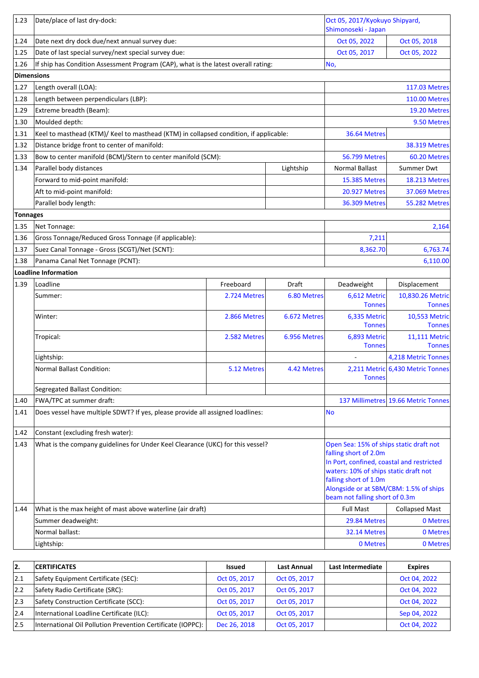| 1.23            | Date/place of last dry-dock:                                                          |              |              | Oct 05, 2017/Kyokuyo Shipyard,<br>Shimonoseki - Japan                                                                                                                                                                                                       |                                     |
|-----------------|---------------------------------------------------------------------------------------|--------------|--------------|-------------------------------------------------------------------------------------------------------------------------------------------------------------------------------------------------------------------------------------------------------------|-------------------------------------|
| 1.24            | Date next dry dock due/next annual survey due:                                        |              |              | Oct 05, 2022                                                                                                                                                                                                                                                | Oct 05, 2018                        |
| 1.25            | Date of last special survey/next special survey due:                                  |              |              | Oct 05, 2017                                                                                                                                                                                                                                                | Oct 05, 2022                        |
| 1.26            | If ship has Condition Assessment Program (CAP), what is the latest overall rating:    |              |              | No,                                                                                                                                                                                                                                                         |                                     |
| Dimensions      |                                                                                       |              |              |                                                                                                                                                                                                                                                             |                                     |
| 1.27            | Length overall (LOA):                                                                 |              |              |                                                                                                                                                                                                                                                             | <b>117.03 Metres</b>                |
| 1.28            | Length between perpendiculars (LBP):                                                  |              |              |                                                                                                                                                                                                                                                             | <b>110.00 Metres</b>                |
| 1.29            | Extreme breadth (Beam):                                                               |              |              |                                                                                                                                                                                                                                                             | 19.20 Metres                        |
| 1.30            | Moulded depth:                                                                        |              |              | 9.50 Metres                                                                                                                                                                                                                                                 |                                     |
| 1.31            | Keel to masthead (KTM)/ Keel to masthead (KTM) in collapsed condition, if applicable: |              |              | 36.64 Metres                                                                                                                                                                                                                                                |                                     |
| 1.32            | Distance bridge front to center of manifold:                                          |              |              |                                                                                                                                                                                                                                                             | <b>38.319 Metres</b>                |
| 1.33            | Bow to center manifold (BCM)/Stern to center manifold (SCM):                          |              |              | <b>56.799 Metres</b>                                                                                                                                                                                                                                        | 60.20 Metres                        |
| 1.34            | Parallel body distances                                                               |              | Lightship    | <b>Normal Ballast</b>                                                                                                                                                                                                                                       | <b>Summer Dwt</b>                   |
|                 | Forward to mid-point manifold:                                                        |              |              | <b>15.385 Metres</b>                                                                                                                                                                                                                                        | <b>18.213 Metres</b>                |
|                 | Aft to mid-point manifold:                                                            |              |              | <b>20.927 Metres</b>                                                                                                                                                                                                                                        | <b>37.069 Metres</b>                |
|                 | Parallel body length:                                                                 |              |              | <b>36.309 Metres</b>                                                                                                                                                                                                                                        | <b>55.282 Metres</b>                |
| <b>Tonnages</b> |                                                                                       |              |              |                                                                                                                                                                                                                                                             |                                     |
| 1.35            | Net Tonnage:                                                                          |              |              |                                                                                                                                                                                                                                                             | 2,164                               |
| 1.36            | Gross Tonnage/Reduced Gross Tonnage (if applicable):                                  |              |              | 7,211                                                                                                                                                                                                                                                       |                                     |
| 1.37            | Suez Canal Tonnage - Gross (SCGT)/Net (SCNT):                                         |              |              | 8,362.70                                                                                                                                                                                                                                                    | 6,763.74                            |
| 1.38            | Panama Canal Net Tonnage (PCNT):                                                      |              |              |                                                                                                                                                                                                                                                             | 6,110.00                            |
|                 | Loadline Information                                                                  |              |              |                                                                                                                                                                                                                                                             |                                     |
| 1.39            | Loadline                                                                              | Freeboard    | Draft        | Deadweight                                                                                                                                                                                                                                                  | Displacement                        |
|                 | Summer:                                                                               | 2.724 Metres | 6.80 Metres  | 6,612 Metric<br><b>Tonnes</b>                                                                                                                                                                                                                               | 10,830.26 Metric<br><b>Tonnes</b>   |
|                 | Winter:                                                                               | 2.866 Metres | 6.672 Metres | 6,335 Metric<br><b>Tonnes</b>                                                                                                                                                                                                                               | 10,553 Metric<br><b>Tonnes</b>      |
|                 | Tropical:                                                                             | 2.582 Metres | 6.956 Metres | 6,893 Metric<br><b>Tonnes</b>                                                                                                                                                                                                                               | 11,111 Metric<br><b>Tonnes</b>      |
|                 | Lightship:                                                                            |              |              |                                                                                                                                                                                                                                                             | 4,218 Metric Tonnes                 |
|                 | Normal Ballast Condition:                                                             | 5.12 Metres  | 4.42 Metres  | <b>Tonnes</b>                                                                                                                                                                                                                                               | 2,211 Metric 6,430 Metric Tonnes    |
|                 | Segregated Ballast Condition:                                                         |              |              |                                                                                                                                                                                                                                                             |                                     |
| 1.40            | FWA/TPC at summer draft:                                                              |              |              |                                                                                                                                                                                                                                                             | 137 Millimetres 19.66 Metric Tonnes |
| 1.41            | Does vessel have multiple SDWT? If yes, please provide all assigned loadlines:        |              |              | <b>No</b>                                                                                                                                                                                                                                                   |                                     |
|                 |                                                                                       |              |              |                                                                                                                                                                                                                                                             |                                     |
| $ 1.42\rangle$  | Constant (excluding fresh water):                                                     |              |              |                                                                                                                                                                                                                                                             |                                     |
| 1.43            | What is the company guidelines for Under Keel Clearance (UKC) for this vessel?        |              |              | Open Sea: 15% of ships static draft not<br>falling short of 2.0m<br>In Port, confined, coastal and restricted<br>waters: 10% of ships static draft not<br>falling short of 1.0m<br>Alongside or at SBM/CBM: 1.5% of ships<br>beam not falling short of 0.3m |                                     |
| 1.44            | What is the max height of mast above waterline (air draft)                            |              |              | <b>Full Mast</b>                                                                                                                                                                                                                                            | <b>Collapsed Mast</b>               |
|                 | Summer deadweight:                                                                    |              |              | 29.84 Metres                                                                                                                                                                                                                                                | 0 Metres                            |
|                 | Normal ballast:                                                                       |              |              | 32.14 Metres                                                                                                                                                                                                                                                | 0 Metres                            |
|                 | Lightship:                                                                            |              |              | 0 Metres                                                                                                                                                                                                                                                    | 0 Metres                            |

| 12. | <b>CERTIFICATES</b>                                         | <b>Issued</b> | <b>Last Annual</b> | Last Intermediate | <b>Expires</b> |
|-----|-------------------------------------------------------------|---------------|--------------------|-------------------|----------------|
| 2.1 | Safety Equipment Certificate (SEC):                         | Oct 05, 2017  | Oct 05, 2017       |                   | Oct 04, 2022   |
| 2.2 | Safety Radio Certificate (SRC):                             | Oct 05, 2017  | Oct 05, 2017       |                   | Oct 04, 2022   |
| 2.3 | Safety Construction Certificate (SCC):                      | Oct 05, 2017  | Oct 05, 2017       |                   | Oct 04, 2022   |
| 2.4 | International Loadline Certificate (ILC):                   | Oct 05, 2017  | Oct 05, 2017       |                   | Sep 04, 2022   |
| 2.5 | International Oil Pollution Prevention Certificate (IOPPC): | Dec 26, 2018  | Oct 05, 2017       |                   | Oct 04, 2022   |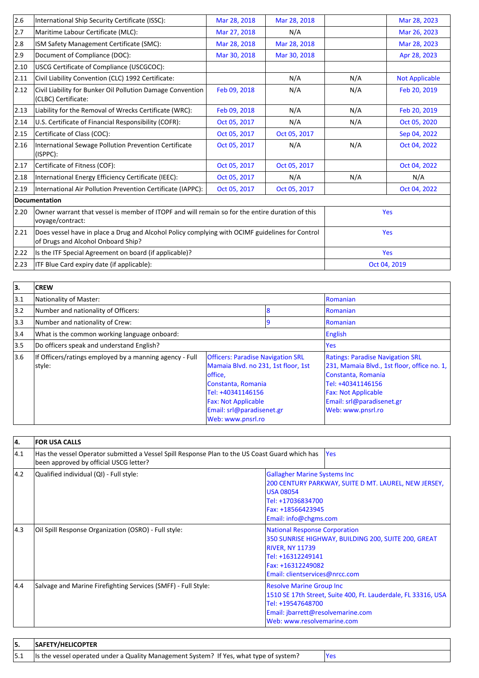| 2.6            | International Ship Security Certificate (ISSC):                                                                                       | Mar 28, 2018 | Mar 28, 2018 |            | Mar 28, 2023          |  |
|----------------|---------------------------------------------------------------------------------------------------------------------------------------|--------------|--------------|------------|-----------------------|--|
| 2.7            | Maritime Labour Certificate (MLC):                                                                                                    | Mar 27, 2018 | N/A          |            | Mar 26, 2023          |  |
| 2.8            | ISM Safety Management Certificate (SMC):                                                                                              | Mar 28, 2018 | Mar 28, 2018 |            | Mar 28, 2023          |  |
| 2.9            | Document of Compliance (DOC):                                                                                                         | Mar 30, 2018 | Mar 30, 2018 |            | Apr 28, 2023          |  |
| 2.10           | USCG Certificate of Compliance (USCGCOC):                                                                                             |              |              |            |                       |  |
| 2.11           | Civil Liability Convention (CLC) 1992 Certificate:                                                                                    |              | N/A          | N/A        | <b>Not Applicable</b> |  |
| 2.12           | Civil Liability for Bunker Oil Pollution Damage Convention<br>(CLBC) Certificate:                                                     | Feb 09, 2018 | N/A          | N/A        | Feb 20, 2019          |  |
| $ 2.13\rangle$ | Liability for the Removal of Wrecks Certificate (WRC):                                                                                | Feb 09, 2018 | N/A          | N/A        | Feb 20, 2019          |  |
| 2.14           | U.S. Certificate of Financial Responsibility (COFR):                                                                                  | Oct 05, 2017 | N/A          | N/A        | Oct 05, 2020          |  |
| 2.15           | Certificate of Class (COC):                                                                                                           | Oct 05, 2017 | Oct 05, 2017 |            | Sep 04, 2022          |  |
| 2.16           | International Sewage Pollution Prevention Certificate<br>(ISPPC):                                                                     | Oct 05, 2017 | N/A          | N/A        | Oct 04, 2022          |  |
| 2.17           | Certificate of Fitness (COF):                                                                                                         | Oct 05, 2017 | Oct 05, 2017 |            | Oct 04, 2022          |  |
| 2.18           | International Energy Efficiency Certificate (IEEC):                                                                                   | Oct 05, 2017 | N/A          | N/A        | N/A                   |  |
| 2.19           | International Air Pollution Prevention Certificate (IAPPC):                                                                           | Oct 05, 2017 | Oct 05, 2017 |            | Oct 04, 2022          |  |
|                | Documentation                                                                                                                         |              |              |            |                       |  |
| 2.20           | Owner warrant that vessel is member of ITOPF and will remain so for the entire duration of this<br>voyage/contract:                   |              |              | <b>Yes</b> |                       |  |
| 2.21           | Does vessel have in place a Drug and Alcohol Policy complying with OCIMF guidelines for Control<br>of Drugs and Alcohol Onboard Ship? |              |              | Yes        |                       |  |
| 2.22           | Is the ITF Special Agreement on board (if applicable)?                                                                                |              |              | Yes        |                       |  |
| 2.23           | ITF Blue Card expiry date (if applicable):                                                                                            |              |              |            | Oct 04, 2019          |  |
|                |                                                                                                                                       |              |              |            |                       |  |

| 3.            | <b>CREW</b>                                                       |                                                                                                                                                                                                                       |   |                                                                                                                                                                                                                   |  |
|---------------|-------------------------------------------------------------------|-----------------------------------------------------------------------------------------------------------------------------------------------------------------------------------------------------------------------|---|-------------------------------------------------------------------------------------------------------------------------------------------------------------------------------------------------------------------|--|
| 3.1           | Nationality of Master:                                            |                                                                                                                                                                                                                       |   | Romanian                                                                                                                                                                                                          |  |
| 3.2           | Number and nationality of Officers:                               |                                                                                                                                                                                                                       | 8 | Romanian                                                                                                                                                                                                          |  |
| $ 3.3\rangle$ | Number and nationality of Crew:                                   |                                                                                                                                                                                                                       |   | Romanian                                                                                                                                                                                                          |  |
| 3.4           | What is the common working language onboard:                      |                                                                                                                                                                                                                       |   | English                                                                                                                                                                                                           |  |
| 3.5           | Do officers speak and understand English?                         |                                                                                                                                                                                                                       |   | <b>Yes</b>                                                                                                                                                                                                        |  |
| 3.6           | If Officers/ratings employed by a manning agency - Full<br>style: | <b>Officers: Paradise Navigation SRL</b><br>Mamaia Blvd. no 231, 1st floor, 1st<br>office,<br>Constanta, Romania<br>Tel: +40341146156<br><b>Fax: Not Applicable</b><br>Email: srl@paradisenet.gr<br>Web: www.pnsrl.ro |   | <b>Ratings: Paradise Navigation SRL</b><br>231, Mamaia Blvd., 1st floor, office no. 1,<br>Constanta, Romania<br>Tel: +40341146156<br><b>Fax: Not Applicable</b><br>Email: srl@paradisenet.gr<br>Web: www.pnsrl.ro |  |

| 4.  | <b>FOR USA CALLS</b>                                                                                                                     |                                                                                                                                                                                                   |  |
|-----|------------------------------------------------------------------------------------------------------------------------------------------|---------------------------------------------------------------------------------------------------------------------------------------------------------------------------------------------------|--|
| 4.1 | Has the vessel Operator submitted a Vessel Spill Response Plan to the US Coast Guard which has<br>been approved by official USCG letter? | <b>Yes</b>                                                                                                                                                                                        |  |
| 4.2 | Qualified individual (QI) - Full style:                                                                                                  | <b>Gallagher Marine Systems Inc</b><br>200 CENTURY PARKWAY, SUITE D MT. LAUREL, NEW JERSEY,<br><b>USA 08054</b><br>Tel: +17036834700<br>Fax: +18566423945<br>Email: info@chgms.com                |  |
| 4.3 | Oil Spill Response Organization (OSRO) - Full style:                                                                                     | <b>National Response Corporation</b><br>350 SUNRISE HIGHWAY, BUILDING 200, SUITE 200, GREAT<br><b>RIVER, NY 11739</b><br>Tel: +16312249141<br>Fax: +16312249082<br>Email: clientservices@nrcc.com |  |
| 4.4 | Salvage and Marine Firefighting Services (SMFF) - Full Style:                                                                            | <b>Resolve Marine Group Inc</b><br>1510 SE 17th Street, Suite 400, Ft. Lauderdale, FL 33316, USA<br>Tel: +19547648700<br>Email: jbarrett@resolvemarine.com<br>Web: www.resolvemarine.com          |  |

|  | <b>SAFETY/HELICOPTER</b>                                                                   |  |
|--|--------------------------------------------------------------------------------------------|--|
|  | 5.1 Is the vessel operated under a Quality Management System? If Yes, what type of system? |  |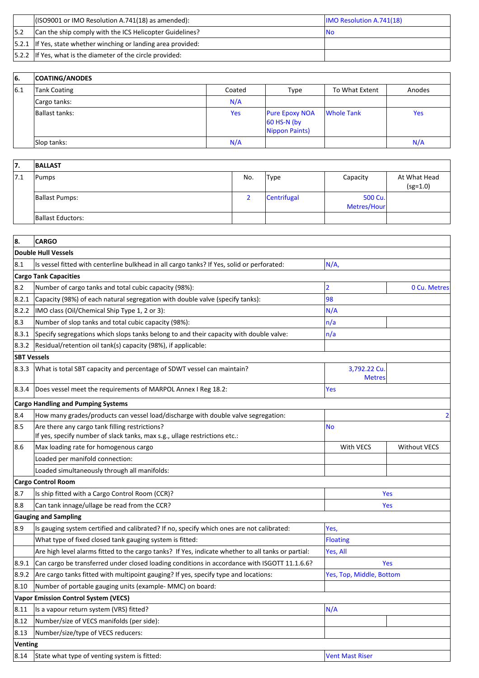|     | $($ ISO9001 or IMO Resolution A.741(18) as amended):               | <b>IMO Resolution A.741(18)</b> |
|-----|--------------------------------------------------------------------|---------------------------------|
| 5.2 | Can the ship comply with the ICS Helicopter Guidelines?            | INO                             |
|     | $ 5.2.1 $ If Yes, state whether winching or landing area provided: |                                 |
|     | $ 5.2.2 $ If Yes, what is the diameter of the circle provided:     |                                 |

| 66. | <b>COATING/ANODES</b> |        |                                                          |                |        |
|-----|-----------------------|--------|----------------------------------------------------------|----------------|--------|
| 6.1 | Tank Coating          | Coated | Type                                                     | To What Extent | Anodes |
|     | Cargo tanks:          | N/A    |                                                          |                |        |
|     | Ballast tanks:        | Yes    | <b>Pure Epoxy NOA</b><br>$60$ HS-N (by<br>Nippon Paints) | Whole Tank     | Yes    |
|     | Slop tanks:           | N/A    |                                                          |                | N/A    |

| 17.  | <b>BALLAST</b>        |     |             |                        |                            |
|------|-----------------------|-----|-------------|------------------------|----------------------------|
| 17.1 | Pumps                 | No. | Type        | Capacity               | At What Head<br>$(sg=1.0)$ |
|      | <b>Ballast Pumps:</b> |     | Centrifugal | 500 Cu.<br>Metres/Hour |                            |
|      | Ballast Eductors:     |     |             |                        |                            |

| 8.                 | <b>CARGO</b>                                                                                                                 |                               |                     |  |
|--------------------|------------------------------------------------------------------------------------------------------------------------------|-------------------------------|---------------------|--|
|                    | <b>Double Hull Vessels</b>                                                                                                   |                               |                     |  |
| 8.1                | Is vessel fitted with centerline bulkhead in all cargo tanks? If Yes, solid or perforated:                                   | N/A                           |                     |  |
|                    | <b>Cargo Tank Capacities</b>                                                                                                 |                               |                     |  |
| 8.2                | Number of cargo tanks and total cubic capacity (98%):                                                                        | 2                             | 0 Cu. Metres        |  |
| 8.2.1              | Capacity (98%) of each natural segregation with double valve (specify tanks):                                                | 98                            |                     |  |
| 8.2.2              | IMO class (Oil/Chemical Ship Type 1, 2 or 3):                                                                                | N/A                           |                     |  |
| 8.3                | Number of slop tanks and total cubic capacity (98%):                                                                         | n/a                           |                     |  |
| 8.3.1              | Specify segregations which slops tanks belong to and their capacity with double valve:                                       | n/a                           |                     |  |
| 8.3.2              | Residual/retention oil tank(s) capacity (98%), if applicable:                                                                |                               |                     |  |
| <b>SBT Vessels</b> |                                                                                                                              |                               |                     |  |
| 8.3.3              | What is total SBT capacity and percentage of SDWT vessel can maintain?                                                       | 3,792.22 Cu.<br><b>Metres</b> |                     |  |
| 8.3.4              | Does vessel meet the requirements of MARPOL Annex I Reg 18.2:                                                                | Yes                           |                     |  |
|                    | <b>Cargo Handling and Pumping Systems</b>                                                                                    |                               |                     |  |
| 8.4                | How many grades/products can vessel load/discharge with double valve segregation:                                            |                               | 2                   |  |
| 8.5                | Are there any cargo tank filling restrictions?<br>If yes, specify number of slack tanks, max s.g., ullage restrictions etc.: | <b>No</b>                     |                     |  |
| 8.6                | Max loading rate for homogenous cargo                                                                                        | With VECS                     | <b>Without VECS</b> |  |
|                    | Loaded per manifold connection:                                                                                              |                               |                     |  |
|                    | Loaded simultaneously through all manifolds:                                                                                 |                               |                     |  |
|                    | <b>Cargo Control Room</b>                                                                                                    |                               |                     |  |
| 8.7                | Is ship fitted with a Cargo Control Room (CCR)?                                                                              | <b>Yes</b>                    |                     |  |
| 8.8                | Can tank innage/ullage be read from the CCR?                                                                                 | <b>Yes</b>                    |                     |  |
|                    | <b>Gauging and Sampling</b>                                                                                                  |                               |                     |  |
| 8.9                | Is gauging system certified and calibrated? If no, specify which ones are not calibrated:                                    | Yes,                          |                     |  |
|                    | What type of fixed closed tank gauging system is fitted:                                                                     | <b>Floating</b>               |                     |  |
|                    | Are high level alarms fitted to the cargo tanks? If Yes, indicate whether to all tanks or partial:                           | Yes, All                      |                     |  |
| 8.9.1              | Can cargo be transferred under closed loading conditions in accordance with ISGOTT 11.1.6.6?                                 | <b>Yes</b>                    |                     |  |
| 8.9.2              | Are cargo tanks fitted with multipoint gauging? If yes, specify type and locations:                                          | Yes, Top, Middle, Bottom      |                     |  |
| 8.10               | Number of portable gauging units (example- MMC) on board:                                                                    |                               |                     |  |
|                    | Vapor Emission Control System (VECS)                                                                                         |                               |                     |  |
| 8.11               | Is a vapour return system (VRS) fitted?                                                                                      | N/A                           |                     |  |
| 8.12               | Number/size of VECS manifolds (per side):                                                                                    |                               |                     |  |
| 8.13               | Number/size/type of VECS reducers:                                                                                           |                               |                     |  |
| <b>Venting</b>     |                                                                                                                              |                               |                     |  |
| 8.14               | State what type of venting system is fitted:                                                                                 | <b>Vent Mast Riser</b>        |                     |  |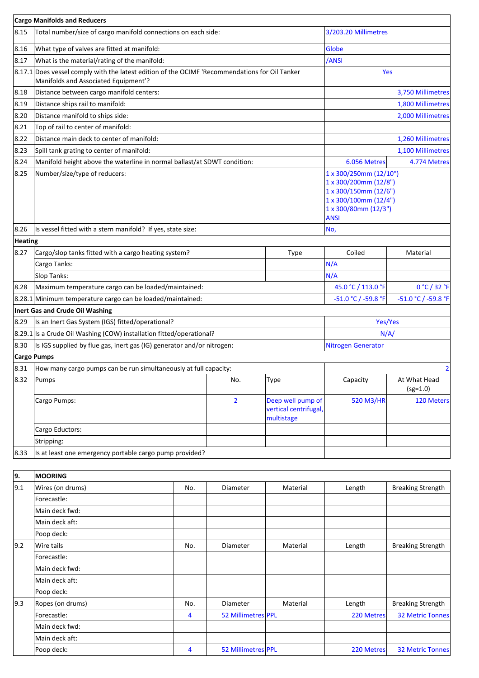|                | <b>Cargo Manifolds and Reducers</b>                                                                                                        |                |                                                          |                                                                                                                                          |                            |  |
|----------------|--------------------------------------------------------------------------------------------------------------------------------------------|----------------|----------------------------------------------------------|------------------------------------------------------------------------------------------------------------------------------------------|----------------------------|--|
| 8.15           | Total number/size of cargo manifold connections on each side:                                                                              |                |                                                          | 3/203.20 Millimetres                                                                                                                     |                            |  |
| 8.16           | What type of valves are fitted at manifold:                                                                                                |                |                                                          | <b>Globe</b>                                                                                                                             |                            |  |
| 8.17           | What is the material/rating of the manifold:                                                                                               |                |                                                          | /ANSI                                                                                                                                    |                            |  |
|                | $ 8.17.1 $ Does vessel comply with the latest edition of the OCIMF 'Recommendations for Oil Tanker<br>Manifolds and Associated Equipment'? |                |                                                          |                                                                                                                                          | Yes                        |  |
| 8.18           | Distance between cargo manifold centers:                                                                                                   |                |                                                          |                                                                                                                                          | 3,750 Millimetres          |  |
| 8.19           | Distance ships rail to manifold:                                                                                                           |                |                                                          |                                                                                                                                          | 1,800 Millimetres          |  |
| 8.20           | Distance manifold to ships side:                                                                                                           |                |                                                          |                                                                                                                                          | 2,000 Millimetres          |  |
| 8.21           | Top of rail to center of manifold:                                                                                                         |                |                                                          |                                                                                                                                          |                            |  |
| 8.22           | Distance main deck to center of manifold:                                                                                                  |                |                                                          | 1,260 Millimetres                                                                                                                        |                            |  |
| 8.23           | Spill tank grating to center of manifold:                                                                                                  |                |                                                          |                                                                                                                                          | 1,100 Millimetres          |  |
| 8.24           | Manifold height above the waterline in normal ballast/at SDWT condition:                                                                   |                |                                                          | 6.056 Metres                                                                                                                             | 4.774 Metres               |  |
| 8.25           | Number/size/type of reducers:                                                                                                              |                |                                                          | 1 x 300/250mm (12/10")<br>1 x 300/200mm (12/8")<br>1 x 300/150mm (12/6")<br>1 x 300/100mm (12/4")<br>1 x 300/80mm (12/3")<br><b>ANSI</b> |                            |  |
| 8.26           | Is vessel fitted with a stern manifold? If yes, state size:                                                                                |                |                                                          | No,                                                                                                                                      |                            |  |
| <b>Heating</b> |                                                                                                                                            |                |                                                          |                                                                                                                                          |                            |  |
| 8.27           | Cargo/slop tanks fitted with a cargo heating system?                                                                                       |                | <b>Type</b>                                              | Coiled                                                                                                                                   | Material                   |  |
|                | Cargo Tanks:                                                                                                                               |                |                                                          | N/A                                                                                                                                      |                            |  |
|                | Slop Tanks:                                                                                                                                |                |                                                          | N/A                                                                                                                                      |                            |  |
| 8.28           | Maximum temperature cargo can be loaded/maintained:                                                                                        |                |                                                          | 45.0 °C / 113.0 °F                                                                                                                       | 0 °C / 32 °F               |  |
|                | 8.28.1 Minimum temperature cargo can be loaded/maintained:                                                                                 |                |                                                          | -51.0 °C / -59.8 °F                                                                                                                      | -51.0 °C / -59.8 °F        |  |
|                | Inert Gas and Crude Oil Washing                                                                                                            |                |                                                          |                                                                                                                                          |                            |  |
| 8.29           | Is an Inert Gas System (IGS) fitted/operational?                                                                                           |                |                                                          |                                                                                                                                          | Yes/Yes                    |  |
|                | 8.29.1 Is a Crude Oil Washing (COW) installation fitted/operational?                                                                       |                |                                                          | N/A/                                                                                                                                     |                            |  |
| 8.30           | Is IGS supplied by flue gas, inert gas (IG) generator and/or nitrogen:                                                                     |                |                                                          | <b>Nitrogen Generator</b>                                                                                                                |                            |  |
|                | <b>Cargo Pumps</b>                                                                                                                         |                |                                                          |                                                                                                                                          |                            |  |
| 8.31           | How many cargo pumps can be run simultaneously at full capacity:                                                                           |                |                                                          |                                                                                                                                          | 2                          |  |
| 8.32           | Pumps                                                                                                                                      | No.            | Type                                                     | Capacity                                                                                                                                 | At What Head<br>$(sg=1.0)$ |  |
|                | Cargo Pumps:                                                                                                                               | $\overline{2}$ | Deep well pump of<br>vertical centrifugal,<br>multistage | 520 M3/HR                                                                                                                                | 120 Meters                 |  |
|                | Cargo Eductors:                                                                                                                            |                |                                                          |                                                                                                                                          |                            |  |
|                | Stripping:                                                                                                                                 |                |                                                          |                                                                                                                                          |                            |  |
| 8.33           | Is at least one emergency portable cargo pump provided?                                                                                    |                |                                                          |                                                                                                                                          |                            |  |
|                |                                                                                                                                            |                |                                                          |                                                                                                                                          |                            |  |
| 9.             | <b>MOORING</b>                                                                                                                             |                |                                                          |                                                                                                                                          |                            |  |
|                |                                                                                                                                            |                |                                                          |                                                                                                                                          |                            |  |

| 9.1           | Wires (on drums) | No. | <b>Diameter</b>    | Material | Length     | <b>Breaking Strength</b> |
|---------------|------------------|-----|--------------------|----------|------------|--------------------------|
|               | Forecastle:      |     |                    |          |            |                          |
|               | Main deck fwd:   |     |                    |          |            |                          |
|               | Main deck aft:   |     |                    |          |            |                          |
|               | Poop deck:       |     |                    |          |            |                          |
| $ 9.2\rangle$ | Wire tails       | No. | Diameter           | Material | Length     | <b>Breaking Strength</b> |
|               | Forecastle:      |     |                    |          |            |                          |
|               | Main deck fwd:   |     |                    |          |            |                          |
|               | Main deck aft:   |     |                    |          |            |                          |
|               | Poop deck:       |     |                    |          |            |                          |
| 9.3           | Ropes (on drums) | No. | <b>Diameter</b>    | Material | Length     | <b>Breaking Strength</b> |
|               | Forecastle:      | 4   | 52 Millimetres PPL |          | 220 Metres | <b>32 Metric Tonnes</b>  |
|               | Main deck fwd:   |     |                    |          |            |                          |
|               | Main deck aft:   |     |                    |          |            |                          |
|               | Poop deck:       | 4   | 52 Millimetres PPL |          | 220 Metres | <b>32 Metric Tonnes</b>  |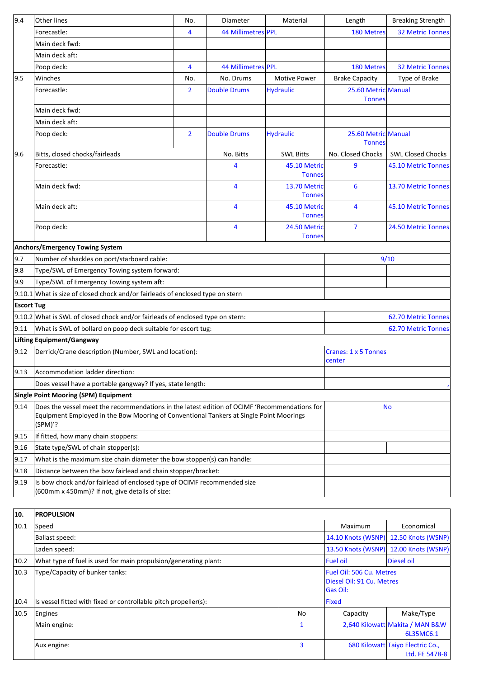| 9.4               | Other lines                                                                                                                                                                                       | No.            | Diameter                       | Material                      | Length                               | <b>Breaking Strength</b> |
|-------------------|---------------------------------------------------------------------------------------------------------------------------------------------------------------------------------------------------|----------------|--------------------------------|-------------------------------|--------------------------------------|--------------------------|
|                   | Forecastle:                                                                                                                                                                                       | 4              | 44 Millimetres PPL             |                               | <b>180 Metres</b>                    | <b>32 Metric Tonnes</b>  |
|                   | Main deck fwd:                                                                                                                                                                                    |                |                                |                               |                                      |                          |
|                   | Main deck aft:                                                                                                                                                                                    |                |                                |                               |                                      |                          |
|                   | Poop deck:                                                                                                                                                                                        | 4              | 44 Millimetres PPL             |                               | <b>180 Metres</b>                    | <b>32 Metric Tonnes</b>  |
| 9.5               | Winches                                                                                                                                                                                           | No.            | No. Drums                      | <b>Motive Power</b>           | <b>Brake Capacity</b>                | Type of Brake            |
|                   | Forecastle:                                                                                                                                                                                       | $\overline{2}$ | <b>Double Drums</b>            | <b>Hydraulic</b>              | 25.60 Metric Manual<br><b>Tonnes</b> |                          |
|                   | Main deck fwd:                                                                                                                                                                                    |                |                                |                               |                                      |                          |
|                   | Main deck aft:                                                                                                                                                                                    |                |                                |                               |                                      |                          |
|                   | Poop deck:                                                                                                                                                                                        | $\overline{2}$ | <b>Double Drums</b>            | <b>Hydraulic</b>              | 25.60 Metric Manual<br><b>Tonnes</b> |                          |
| 9.6               | Bitts, closed chocks/fairleads                                                                                                                                                                    |                | No. Bitts                      | <b>SWL Bitts</b>              | No. Closed Chocks                    | <b>SWL Closed Chocks</b> |
|                   | Forecastle:                                                                                                                                                                                       |                | 4                              | 45.10 Metric<br><b>Tonnes</b> | 9                                    | 45.10 Metric Tonnes      |
|                   | Main deck fwd:                                                                                                                                                                                    |                | 4                              | 13.70 Metric<br><b>Tonnes</b> | 6                                    | 13.70 Metric Tonnes      |
|                   | Main deck aft:                                                                                                                                                                                    |                | 4                              | 45.10 Metric<br><b>Tonnes</b> | 4                                    | 45.10 Metric Tonnes      |
|                   | Poop deck:                                                                                                                                                                                        |                | 4                              | 24.50 Metric<br><b>Tonnes</b> | $\overline{7}$                       | 24.50 Metric Tonnes      |
|                   | <b>Anchors/Emergency Towing System</b>                                                                                                                                                            |                |                                |                               |                                      |                          |
| 9.7               | Number of shackles on port/starboard cable:                                                                                                                                                       |                |                                |                               | 9/10                                 |                          |
| 9.8               | Type/SWL of Emergency Towing system forward:                                                                                                                                                      |                |                                |                               |                                      |                          |
| 9.9               | Type/SWL of Emergency Towing system aft:                                                                                                                                                          |                |                                |                               |                                      |                          |
|                   | $9.10.1$ What is size of closed chock and/or fairleads of enclosed type on stern                                                                                                                  |                |                                |                               |                                      |                          |
| <b>Escort Tug</b> |                                                                                                                                                                                                   |                |                                |                               |                                      |                          |
|                   | 9.10.2 What is SWL of closed chock and/or fairleads of enclosed type on stern:                                                                                                                    |                |                                | 62.70 Metric Tonnes           |                                      |                          |
| 9.11              | What is SWL of bollard on poop deck suitable for escort tug:                                                                                                                                      |                |                                |                               |                                      | 62.70 Metric Tonnes      |
|                   | Lifting Equipment/Gangway                                                                                                                                                                         |                |                                |                               |                                      |                          |
| $ 9.12\rangle$    | Derrick/Crane description (Number, SWL and location):                                                                                                                                             |                | Cranes: 1 x 5 Tonnes<br>center |                               |                                      |                          |
| $ 9.13\rangle$    | Accommodation ladder direction:                                                                                                                                                                   |                |                                |                               |                                      |                          |
|                   | Does vessel have a portable gangway? If yes, state length:                                                                                                                                        |                |                                |                               |                                      |                          |
|                   | <b>Single Point Mooring (SPM) Equipment</b>                                                                                                                                                       |                |                                |                               |                                      |                          |
| 9.14              | Does the vessel meet the recommendations in the latest edition of OCIMF 'Recommendations for<br>Equipment Employed in the Bow Mooring of Conventional Tankers at Single Point Moorings<br>(SPM)'? |                |                                |                               | <b>No</b>                            |                          |
| 9.15              | If fitted, how many chain stoppers:                                                                                                                                                               |                |                                |                               |                                      |                          |
| 9.16              | State type/SWL of chain stopper(s):                                                                                                                                                               |                |                                |                               |                                      |                          |
| 9.17              | What is the maximum size chain diameter the bow stopper(s) can handle:                                                                                                                            |                |                                |                               |                                      |                          |
| 9.18              | Distance between the bow fairlead and chain stopper/bracket:                                                                                                                                      |                |                                |                               |                                      |                          |
| 9.19              | Is bow chock and/or fairlead of enclosed type of OCIMF recommended size<br>(600mm x 450mm)? If not, give details of size:                                                                         |                |                                |                               |                                      |                          |
|                   |                                                                                                                                                                                                   |                |                                |                               |                                      |                          |

| 10.  | <b>PROPULSION</b>                                               |                                                                    |                    |                                                    |
|------|-----------------------------------------------------------------|--------------------------------------------------------------------|--------------------|----------------------------------------------------|
| 10.1 | Speed                                                           |                                                                    | Maximum            | Economical                                         |
|      | <b>Ballast speed:</b>                                           | 14.10 Knots (WSNP)                                                 | 12.50 Knots (WSNP) |                                                    |
|      | Laden speed:                                                    |                                                                    |                    | 13.50 Knots (WSNP)<br>12.00 Knots (WSNP)           |
| 10.2 | What type of fuel is used for main propulsion/generating plant: |                                                                    | <b>Fuel oil</b>    | Diesel oil                                         |
| 10.3 | Type/Capacity of bunker tanks:                                  | Fuel Oil: 506 Cu. Metres<br>Diesel Oil: 91 Cu. Metres<br>lGas Oil: |                    |                                                    |
| 10.4 | Is vessel fitted with fixed or controllable pitch propeller(s): | Fixed                                                              |                    |                                                    |
| 10.5 | Engines                                                         | No                                                                 | Capacity           | Make/Type                                          |
|      | Main engine:                                                    | 1                                                                  |                    | 2,640 Kilowatt Makita / MAN B&W<br>6L35MC6.1       |
|      | Aux engine:                                                     | 3                                                                  |                    | 680 Kilowatt Taiyo Electric Co.,<br>Ltd. FE 547B-8 |

٦